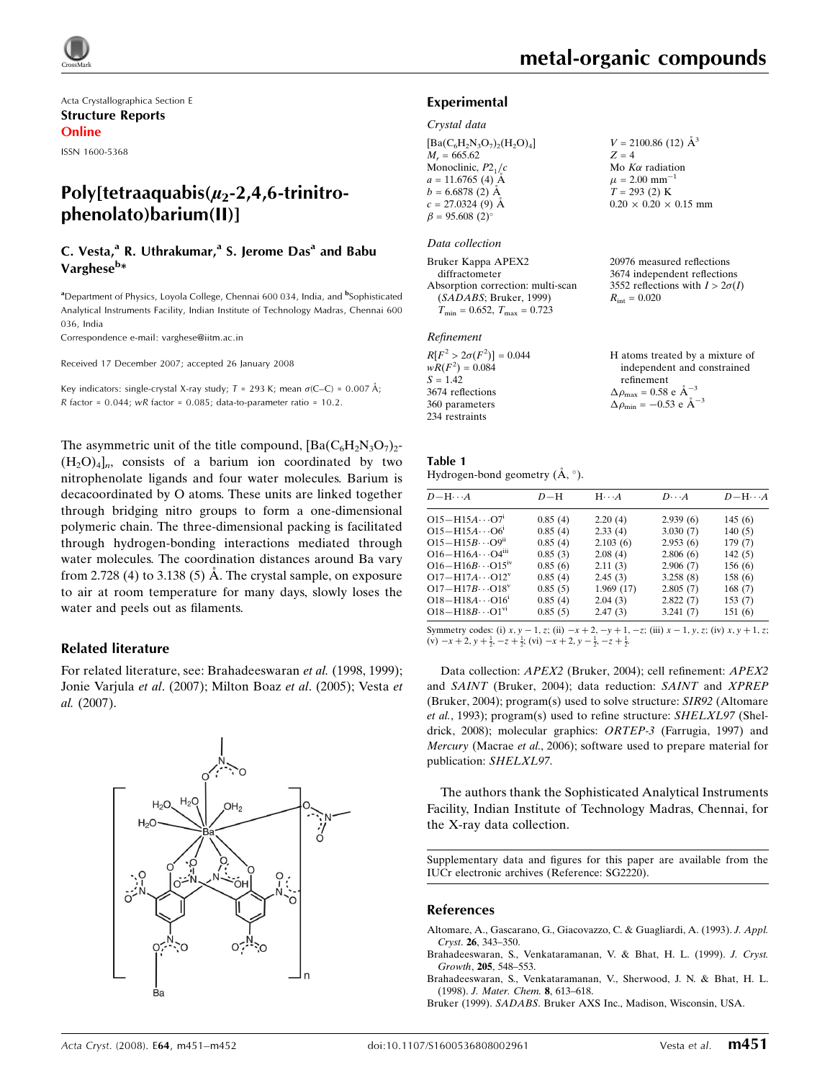Acta Crystallographica Section E Structure Reports Online

ISSN 1600-5368

# Poly[tetraaquabis( $\mu$ <sub>2</sub>-2,4,6-trinitrophenolato)barium(II)]

### C. Vesta,<sup>a</sup> R. Uthrakumar,<sup>a</sup> S. Jerome Das<sup>a</sup> and Babu Varghese<sup>b</sup>\*

<sup>a</sup>Department of Physics, Loyola College, Chennai 600 034, India, and <sup>b</sup>Sophisticated Analytical Instruments Facility, Indian Institute of Technology Madras, Chennai 600 036, India

Correspondence e-mail: varghese@iitm.ac.in

Received 17 December 2007; accepted 26 January 2008

Key indicators: single-crystal X-ray study;  $T = 293$  K; mean  $\sigma$ (C–C) = 0.007 Å; R factor =  $0.044$ ; wR factor =  $0.085$ ; data-to-parameter ratio =  $10.2$ .

The asymmetric unit of the title compound,  $[Ba(C_6H_2N_3O_7)_2$ - $(H_2O)_4$ <sub>n</sub>, consists of a barium ion coordinated by two nitrophenolate ligands and four water molecules. Barium is decacoordinated by O atoms. These units are linked together through bridging nitro groups to form a one-dimensional polymeric chain. The three-dimensional packing is facilitated through hydrogen-bonding interactions mediated through water molecules. The coordination distances around Ba vary from 2.728 (4) to 3.138 (5)  $\AA$ . The crystal sample, on exposure to air at room temperature for many days, slowly loses the water and peels out as filaments.

#### Related literature

For related literature, see: Brahadeeswaran et al. (1998, 1999); Jonie Varjula et al. (2007); Milton Boaz et al. (2005); Vesta et al. (2007).

# $H<sub>2</sub>O$  $H<sub>2</sub>O$ OH<sub>2</sub> Ö,



#### Experimental

#### Crystal data

 $[Ba(C_6H_2N_3O_7)_2(H_2O)_4]$  $M_r = 665.62$ Monoclinic,  $P2<sub>1</sub>/c$  $a = 11.6765$  (4) Å  $b = 6.6878(2)$  Å  $c = 27.0324(9)$  Å  $\beta = 95.608(2)$ 

#### Data collection

Bruker Kappa APEX2 diffractometer Absorption correction: multi-scan (SADABS; Bruker, 1999)  $T_{\text{min}} = 0.652, T_{\text{max}} = 0.723$ 

#### Refinement

| $R[F^2 > 2\sigma(F^2)] = 0.044$ |  |
|---------------------------------|--|
| $wR(F^2) = 0.084$               |  |
| $S = 1.42$                      |  |
| 3674 reflections                |  |
| 360 parameters                  |  |
| 234 restraints                  |  |

 $V = 2100.86$  (12)  $\AA^3$  $Z = 4$ Mo  $K\alpha$  radiation  $\mu = 2.00$  mm<sup>-1</sup>  $T = 293(2)$  K  $0.20 \times 0.20 \times 0.15$  mm

20976 measured reflections 3674 independent reflections 3552 reflections with  $I > 2\sigma(I)$  $R_{\text{int}} = 0.020$ 

H atoms treated by a mixture of independent and constrained refinement  $\Delta \rho_{\text{max}} = 0.58 \text{ e A}^{-3}$  $\Delta \rho_{\text{min}} = -0.53$  e  $\AA^{-3}$ 

| Table 1                                 |  |
|-----------------------------------------|--|
| Hydrogen-bond geometry $(A, \degree)$ . |  |

| $D - H \cdots A$                    | $D-H$   | $H \cdot \cdot \cdot A$ | $D\cdots A$ | $D - H \cdots A$ |
|-------------------------------------|---------|-------------------------|-------------|------------------|
| $O15 - H15A \cdots O7$ <sup>1</sup> | 0.85(4) | 2.20(4)                 | 2.939(6)    | 145(6)           |
| $O15 - H15A \cdots O6^1$            | 0.85(4) | 2.33(4)                 | 3.030(7)    | 140(5)           |
| $O15 - H15B \cdots O9^{ii}$         | 0.85(4) | 2.103(6)                | 2.953(6)    | 179(7)           |
| $O16 - H16A \cdots O4^m$            | 0.85(3) | 2.08(4)                 | 2.806(6)    | 142(5)           |
| $O16 - H16B \cdots O15^{iv}$        | 0.85(6) | 2.11(3)                 | 2.906(7)    | 156(6)           |
| $O17 - H17A \cdots O12^{V}$         | 0.85(4) | 2.45(3)                 | 3.258(8)    | 158(6)           |
| $O17 - H17B \cdots O18^{v}$         | 0.85(5) | 1.969(17)               | 2.805(7)    | 168(7)           |
| $O18 - H18A \cdots O16$             | 0.85(4) | 2.04(3)                 | 2.822(7)    | 153(7)           |
| $O18 - H18B \cdots O1^{VI}$         | 0.85(5) | 2.47(3)                 | 3.241(7)    | 151(6)           |

Symmetry codes: (i)  $x, y - 1, z$ ; (ii)  $-x + 2, -y + 1, -z$ ; (iii)  $x - 1, y, z$ ; (iv)  $x, y + 1, z$ ; (v)  $-x + 2$ ,  $y + \frac{1}{2}$ ,  $-z + \frac{1}{2}$ ; (vi)  $-x + 2$ ,  $y - \frac{1}{2}$ ,  $-z + \frac{1}{2}$ .

Data collection: APEX2 (Bruker, 2004); cell refinement: APEX2 and SAINT (Bruker, 2004); data reduction: SAINT and XPREP (Bruker, 2004); program(s) used to solve structure: SIR92 (Altomare et al., 1993); program(s) used to refine structure: SHELXL97 (Sheldrick, 2008); molecular graphics: ORTEP-3 (Farrugia, 1997) and Mercury (Macrae et al., 2006); software used to prepare material for publication: SHELXL97.

The authors thank the Sophisticated Analytical Instruments Facility, Indian Institute of Technology Madras, Chennai, for the X-ray data collection.

Supplementary data and figures for this paper are available from the IUCr electronic archives (Reference: SG2220).

#### References

- Altomare, A., Gascarano, G., Giacovazzo, C. & Guagliardi, A. (1993). J. Appl. Cryst. 26, 343–350.
- Brahadeeswaran, S., Venkataramanan, V. & Bhat, H. L. (1999). J. Cryst. Growth, 205, 548–553.
- Brahadeeswaran, S., Venkataramanan, V., Sherwood, J. N. & Bhat, H. L. (1998). J. Mater. Chem. 8, 613–618.

Bruker (1999). SADABS. Bruker AXS Inc., Madison, Wisconsin, USA.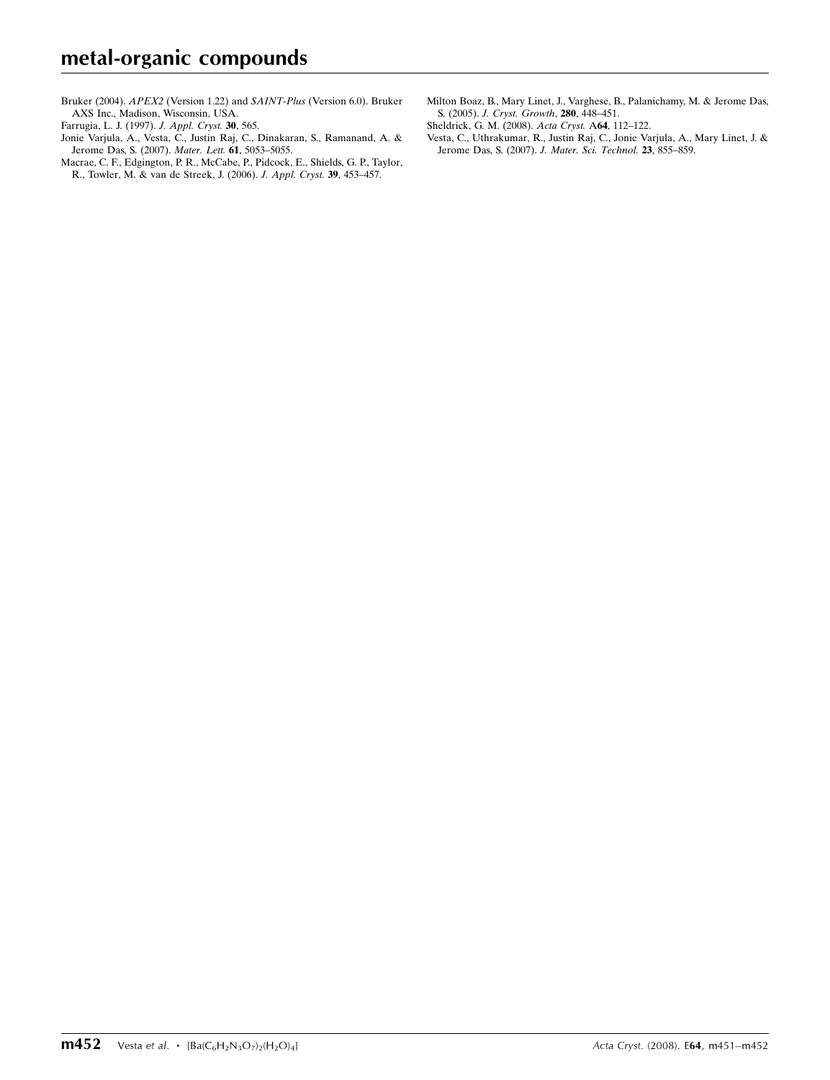Bruker (2004). APEX2 (Version 1.22) and SAINT-Plus (Version 6.0). Bruker AXS Inc., Madison, Wisconsin, USA.

- Farrugia, L. J. (1997). J. Appl. Cryst. 30, 565.
- Jonie Varjula, A., Vesta, C., Justin Raj, C., Dinakaran, S., Ramanand, A. & Jerome Das, S. (2007). Mater. Lett. 61, 5053–5055.
- Macrae, C. F., Edgington, P. R., McCabe, P., Pidcock, E., Shields, G. P., Taylor, R., Towler, M. & van de Streek, J. (2006). J. Appl. Cryst. 39, 453–457.
- Milton Boaz, B., Mary Linet, J., Varghese, B., Palanichamy, M. & Jerome Das, S. (2005). J. Cryst. Growth, 280, 448–451.
- Sheldrick, G. M. (2008). Acta Cryst. A64, 112–122.
- Vesta, C., Uthrakumar, R., Justin Raj, C., Jonie Varjula, A., Mary Linet, J. & Jerome Das, S. (2007). J. Mater. Sci. Technol. 23, 855–859.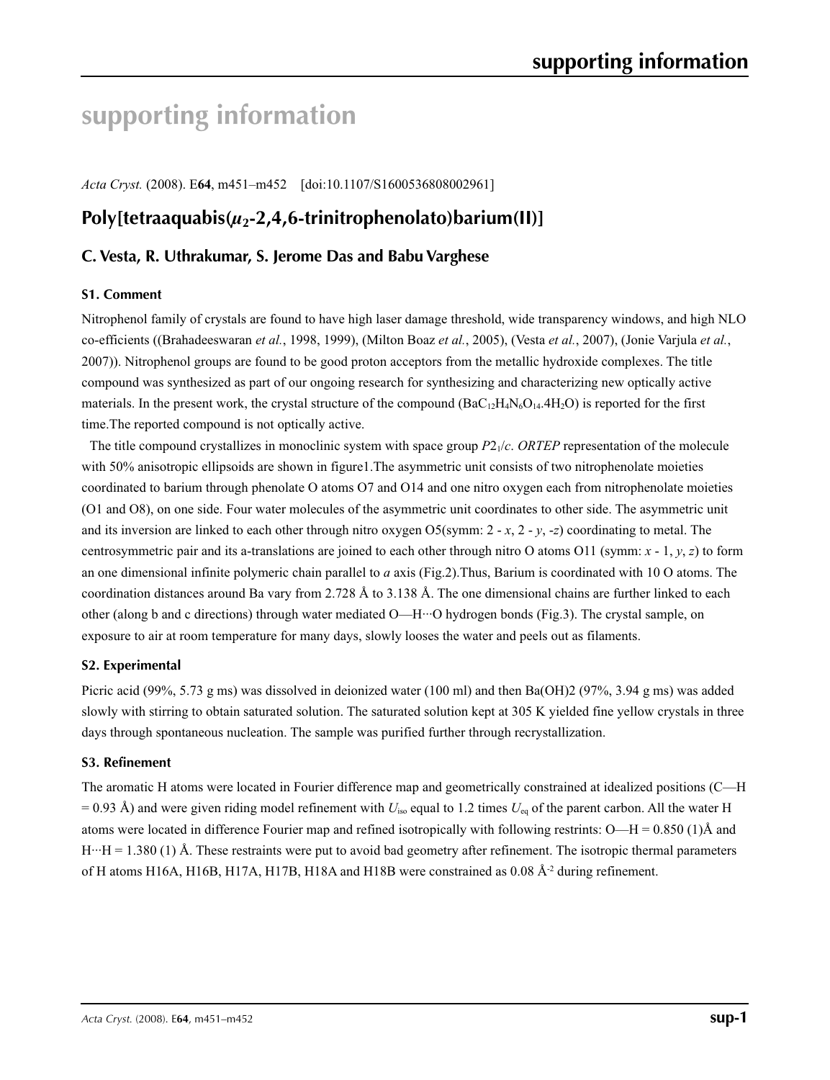# **supporting information**

*Acta Cryst.* (2008). E**64**, m451–m452 [doi:10.1107/S1600536808002961]

# **Poly[tetraaquabis(***µ***2-2,4,6-trinitrophenolato)barium(II)]**

### **C. Vesta, R. Uthrakumar, S. Jerome Das and Babu Varghese**

#### **S1. Comment**

Nitrophenol family of crystals are found to have high laser damage threshold, wide transparency windows, and high NLO co-efficients ((Brahadeeswaran *et al.*, 1998, 1999), (Milton Boaz *et al.*, 2005), (Vesta *et al.*, 2007), (Jonie Varjula *et al.*, 2007)). Nitrophenol groups are found to be good proton acceptors from the metallic hydroxide complexes. The title compound was synthesized as part of our ongoing research for synthesizing and characterizing new optically active materials. In the present work, the crystal structure of the compound  $(BaC_{12}H_4N_6O_{14}.4H_2O)$  is reported for the first time.The reported compound is not optically active.

The title compound crystallizes in monoclinic system with space group *P*21/*c*. *ORTEP* representation of the molecule with 50% anisotropic ellipsoids are shown in figure1. The asymmetric unit consists of two nitrophenolate moieties coordinated to barium through phenolate O atoms O7 and O14 and one nitro oxygen each from nitrophenolate moieties (O1 and O8), on one side. Four water molecules of the asymmetric unit coordinates to other side. The asymmetric unit and its inversion are linked to each other through nitro oxygen O5(symm: 2 - *x*, 2 - *y*, -*z*) coordinating to metal. The centrosymmetric pair and its a-translations are joined to each other through nitro O atoms O11 (symm: *x* - 1, *y*, *z*) to form an one dimensional infinite polymeric chain parallel to *a* axis (Fig.2).Thus, Barium is coordinated with 10 O atoms. The coordination distances around Ba vary from 2.728 Å to 3.138 Å. The one dimensional chains are further linked to each other (along b and c directions) through water mediated O—H···O hydrogen bonds (Fig.3). The crystal sample, on exposure to air at room temperature for many days, slowly looses the water and peels out as filaments.

#### **S2. Experimental**

Picric acid (99%, 5.73 g ms) was dissolved in deionized water (100 ml) and then Ba(OH)2 (97%, 3.94 g ms) was added slowly with stirring to obtain saturated solution. The saturated solution kept at 305 K yielded fine yellow crystals in three days through spontaneous nucleation. The sample was purified further through recrystallization.

#### **S3. Refinement**

The aromatic H atoms were located in Fourier difference map and geometrically constrained at idealized positions (C—H  $= 0.93$  Å) and were given riding model refinement with  $U_{\text{iso}}$  equal to 1.2 times  $U_{\text{eq}}$  of the parent carbon. All the water H atoms were located in difference Fourier map and refined isotropically with following restrints:  $O-H = 0.850 (1)$ Å and  $H \cdot H = 1.380$  (1) Å. These restraints were put to avoid bad geometry after refinement. The isotropic thermal parameters of H atoms H16A, H16B, H17A, H17B, H18A and H18B were constrained as  $0.08 \text{ Å}^2$  during refinement.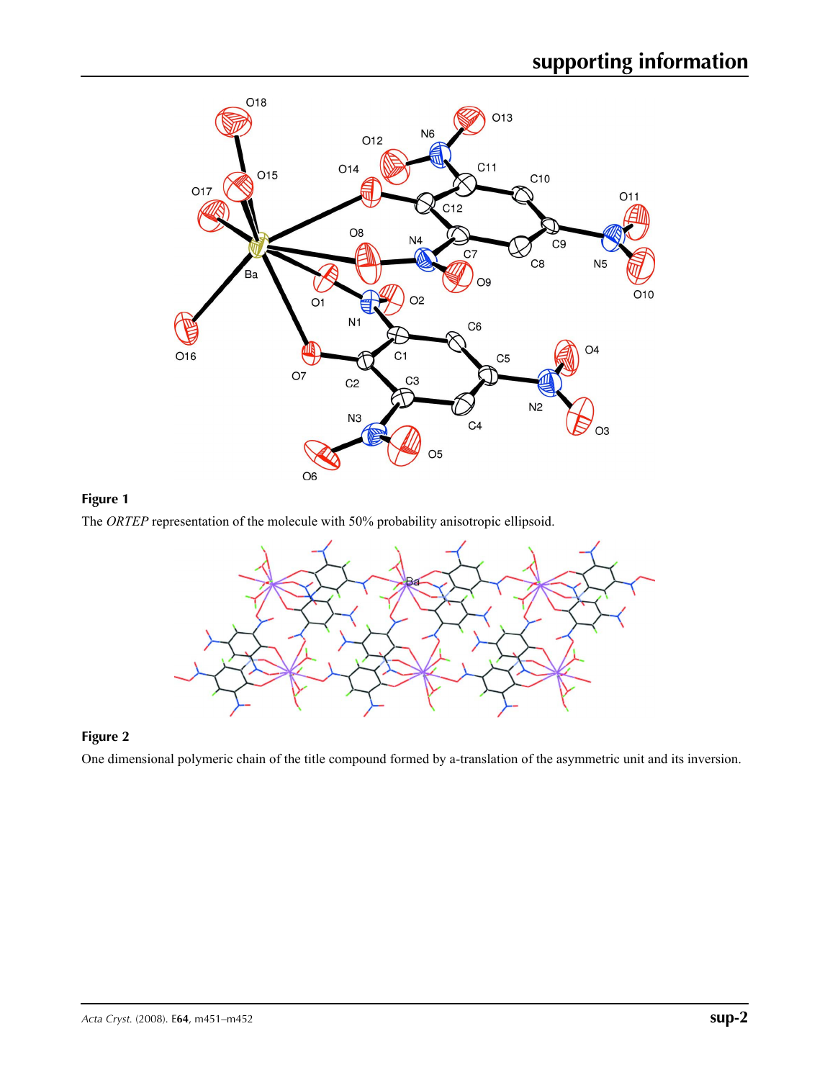

# **Figure 1**

The *ORTEP* representation of the molecule with 50% probability anisotropic ellipsoid.



# **Figure 2**

One dimensional polymeric chain of the title compound formed by a-translation of the asymmetric unit and its inversion.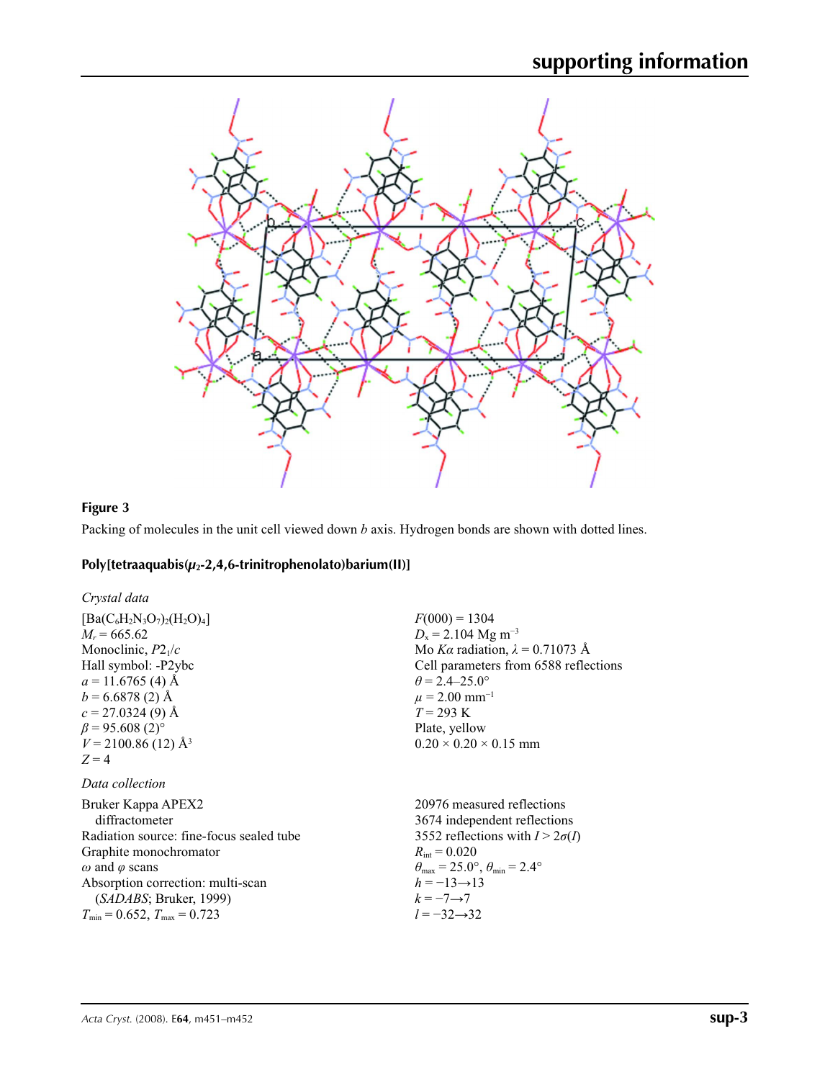

# **Figure 3**

Packing of molecules in the unit cell viewed down *b* axis. Hydrogen bonds are shown with dotted lines.

# **Poly[tetraaquabis(***µ***2-2,4,6-trinitrophenolato)barium(II)]**

| Crystal data                             |                                                                         |
|------------------------------------------|-------------------------------------------------------------------------|
| $[Ba(C_6H_2N_3O_7)_2(H_2O)_4]$           | $F(000) = 1304$                                                         |
| $M_r = 665.62$                           | $D_x = 2.104$ Mg m <sup>-3</sup>                                        |
| Monoclinic, $P2_1/c$                     | Mo Ka radiation, $\lambda = 0.71073$ Å                                  |
| Hall symbol: -P2ybc                      | Cell parameters from 6588 reflections                                   |
| $a = 11.6765$ (4) Å                      | $\theta$ = 2.4–25.0°                                                    |
| $b = 6.6878(2)$ Å                        | $\mu$ = 2.00 mm <sup>-1</sup>                                           |
| $c = 27.0324(9)$ Å                       | $T = 293 \text{ K}$                                                     |
| $\beta$ = 95.608 (2) <sup>o</sup>        | Plate, yellow                                                           |
| $V = 2100.86(12)$ Å <sup>3</sup>         | $0.20 \times 0.20 \times 0.15$ mm                                       |
| $Z=4$                                    |                                                                         |
| Data collection                          |                                                                         |
| Bruker Kappa APEX2                       | 20976 measured reflections                                              |
| diffractometer                           | 3674 independent reflections                                            |
| Radiation source: fine-focus sealed tube | 3552 reflections with $I > 2\sigma(I)$                                  |
| Graphite monochromator                   | $R_{\text{int}} = 0.020$                                                |
| $\omega$ and $\varphi$ scans             | $\theta_{\text{max}} = 25.0^{\circ}, \theta_{\text{min}} = 2.4^{\circ}$ |
| Absorption correction: multi-scan        | $h = -13 \rightarrow 13$                                                |
| (SADABS; Bruker, 1999)                   | $k=-7 \rightarrow 7$                                                    |
| $T_{\min} = 0.652$ , $T_{\max} = 0.723$  | $l = -32 \rightarrow 32$                                                |
|                                          |                                                                         |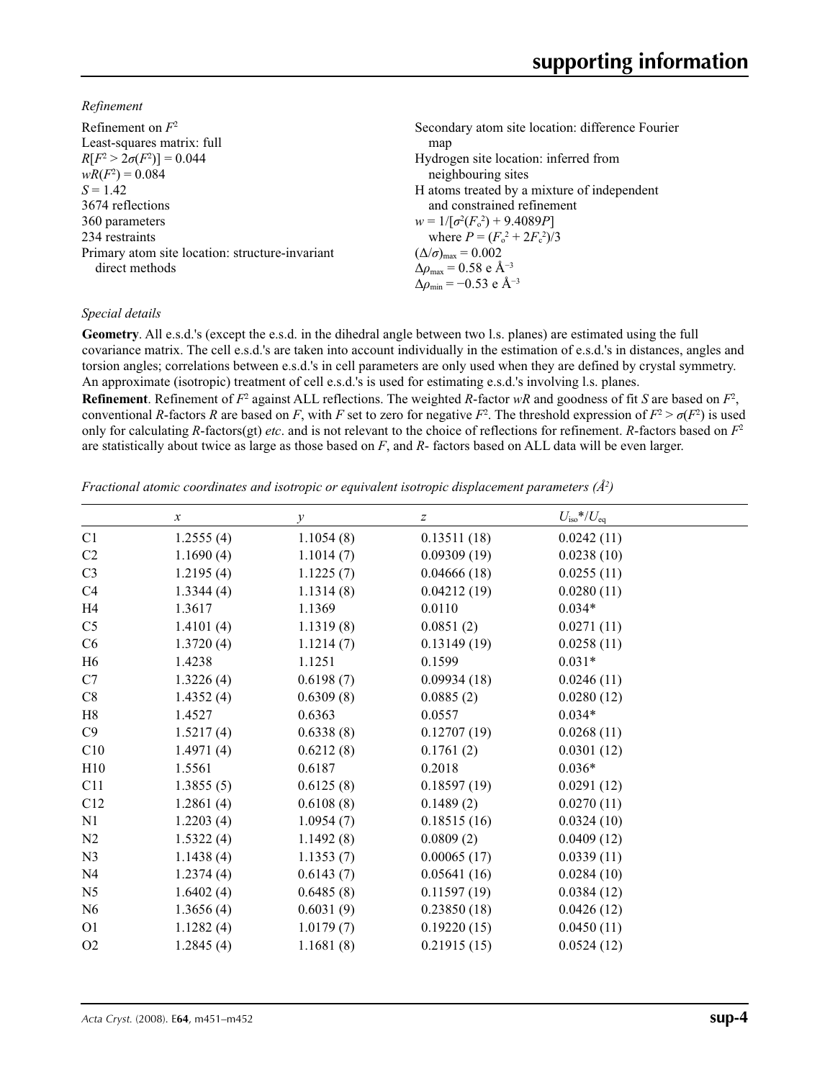*Refinement*

| Secondary atom site location: difference Fourier  |
|---------------------------------------------------|
| map                                               |
| Hydrogen site location: inferred from             |
| neighbouring sites                                |
| H atoms treated by a mixture of independent       |
| and constrained refinement                        |
| $w = 1/[\sigma^2(F_0^2) + 9.4089P]$               |
| where $P = (F_0^2 + 2F_c^2)/3$                    |
| $(\Delta/\sigma)_{\text{max}} = 0.002$            |
| $\Delta\rho_{\text{max}} = 0.58 \text{ e A}^{-3}$ |
| $\Delta\rho_{\rm min} = -0.53$ e Å <sup>-3</sup>  |
|                                                   |

#### *Special details*

**Geometry**. All e.s.d.'s (except the e.s.d. in the dihedral angle between two l.s. planes) are estimated using the full covariance matrix. The cell e.s.d.'s are taken into account individually in the estimation of e.s.d.'s in distances, angles and torsion angles; correlations between e.s.d.'s in cell parameters are only used when they are defined by crystal symmetry. An approximate (isotropic) treatment of cell e.s.d.'s is used for estimating e.s.d.'s involving l.s. planes.

**Refinement**. Refinement of  $F^2$  against ALL reflections. The weighted R-factor wR and goodness of fit *S* are based on  $F^2$ , conventional *R*-factors *R* are based on *F*, with *F* set to zero for negative  $F^2$ . The threshold expression of  $F^2 > \sigma(F^2)$  is used only for calculating *R*-factors(gt) *etc*. and is not relevant to the choice of reflections for refinement. *R*-factors based on *F*<sup>2</sup> are statistically about twice as large as those based on *F*, and *R*- factors based on ALL data will be even larger.

*Fractional atomic coordinates and isotropic or equivalent isotropic displacement parameters (Å<sup>2</sup>)* 

|                | $\boldsymbol{\chi}$ | $\mathcal{Y}$ | Z           | $U_{\rm iso}*/U_{\rm eq}$ |  |
|----------------|---------------------|---------------|-------------|---------------------------|--|
| C1             | 1.2555(4)           | 1.1054(8)     | 0.13511(18) | 0.0242(11)                |  |
| C <sub>2</sub> | 1.1690(4)           | 1.1014(7)     | 0.09309(19) | 0.0238(10)                |  |
| C <sub>3</sub> | 1.2195(4)           | 1.1225(7)     | 0.04666(18) | 0.0255(11)                |  |
| C4             | 1.3344(4)           | 1.1314(8)     | 0.04212(19) | 0.0280(11)                |  |
| H <sub>4</sub> | 1.3617              | 1.1369        | 0.0110      | $0.034*$                  |  |
| C <sub>5</sub> | 1.4101(4)           | 1.1319(8)     | 0.0851(2)   | 0.0271(11)                |  |
| C6             | 1.3720(4)           | 1.1214(7)     | 0.13149(19) | 0.0258(11)                |  |
| H <sub>6</sub> | 1.4238              | 1.1251        | 0.1599      | $0.031*$                  |  |
| C7             | 1.3226(4)           | 0.6198(7)     | 0.09934(18) | 0.0246(11)                |  |
| C8             | 1.4352(4)           | 0.6309(8)     | 0.0885(2)   | 0.0280(12)                |  |
| H8             | 1.4527              | 0.6363        | 0.0557      | $0.034*$                  |  |
| C9             | 1.5217(4)           | 0.6338(8)     | 0.12707(19) | 0.0268(11)                |  |
| C10            | 1.4971(4)           | 0.6212(8)     | 0.1761(2)   | 0.0301(12)                |  |
| H10            | 1.5561              | 0.6187        | 0.2018      | $0.036*$                  |  |
| C11            | 1.3855(5)           | 0.6125(8)     | 0.18597(19) | 0.0291(12)                |  |
| C12            | 1.2861(4)           | 0.6108(8)     | 0.1489(2)   | 0.0270(11)                |  |
| N1             | 1.2203(4)           | 1.0954(7)     | 0.18515(16) | 0.0324(10)                |  |
| N2             | 1.5322(4)           | 1.1492(8)     | 0.0809(2)   | 0.0409(12)                |  |
| N <sub>3</sub> | 1.1438(4)           | 1.1353(7)     | 0.00065(17) | 0.0339(11)                |  |
| N <sub>4</sub> | 1.2374(4)           | 0.6143(7)     | 0.05641(16) | 0.0284(10)                |  |
| N <sub>5</sub> | 1.6402(4)           | 0.6485(8)     | 0.11597(19) | 0.0384(12)                |  |
| N6             | 1.3656(4)           | 0.6031(9)     | 0.23850(18) | 0.0426(12)                |  |
| O <sub>1</sub> | 1.1282(4)           | 1.0179(7)     | 0.19220(15) | 0.0450(11)                |  |
| O2             | 1.2845(4)           | 1.1681(8)     | 0.21915(15) | 0.0524(12)                |  |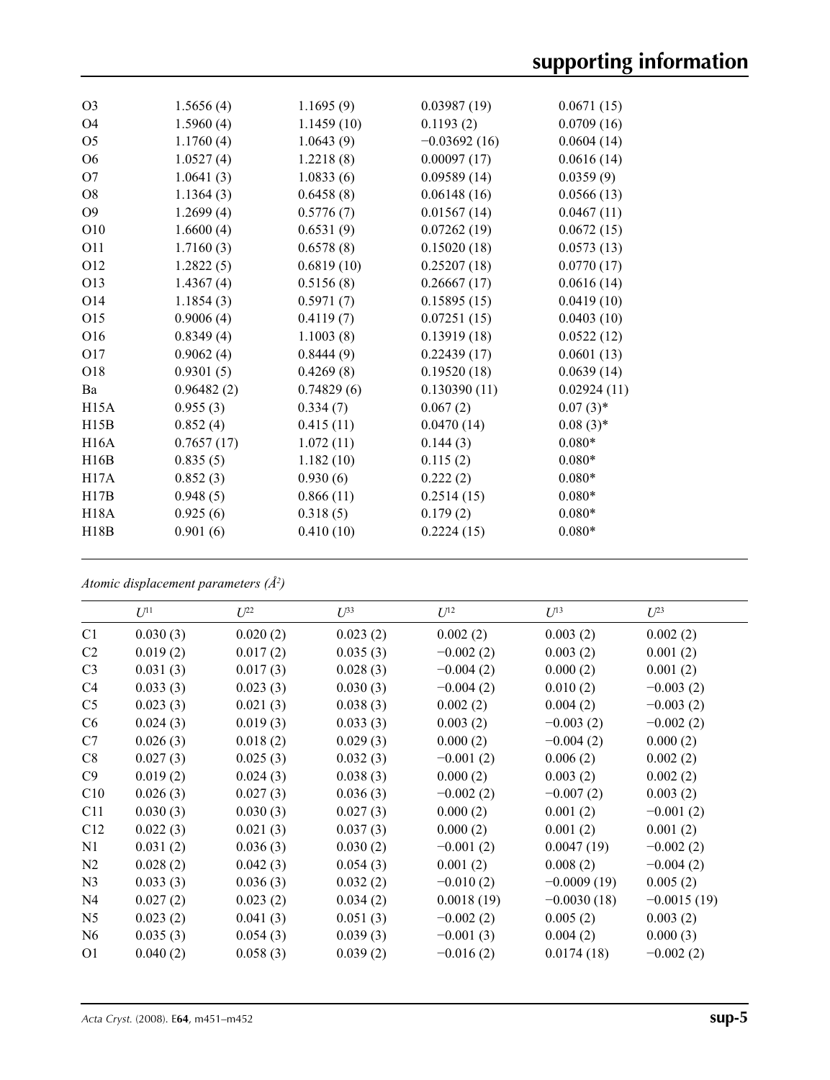| O <sub>3</sub>  | 1.5656(4)  | 1.1695(9)  | 0.03987(19)    | 0.0671(15)  |
|-----------------|------------|------------|----------------|-------------|
| <b>O4</b>       | 1.5960(4)  | 1.1459(10) | 0.1193(2)      | 0.0709(16)  |
| O <sub>5</sub>  | 1.1760(4)  | 1.0643(9)  | $-0.03692(16)$ | 0.0604(14)  |
| O <sub>6</sub>  | 1.0527(4)  | 1.2218(8)  | 0.00097(17)    | 0.0616(14)  |
| O7              | 1.0641(3)  | 1.0833(6)  | 0.09589(14)    | 0.0359(9)   |
| O <sub>8</sub>  | 1.1364(3)  | 0.6458(8)  | 0.06148(16)    | 0.0566(13)  |
| O <sub>9</sub>  | 1.2699(4)  | 0.5776(7)  | 0.01567(14)    | 0.0467(11)  |
| O10             | 1.6600(4)  | 0.6531(9)  | 0.07262(19)    | 0.0672(15)  |
| <b>O11</b>      | 1.7160(3)  | 0.6578(8)  | 0.15020(18)    | 0.0573(13)  |
| O <sub>12</sub> | 1.2822(5)  | 0.6819(10) | 0.25207(18)    | 0.0770(17)  |
| O13             | 1.4367(4)  | 0.5156(8)  | 0.26667(17)    | 0.0616(14)  |
| O14             | 1.1854(3)  | 0.5971(7)  | 0.15895(15)    | 0.0419(10)  |
| O15             | 0.9006(4)  | 0.4119(7)  | 0.07251(15)    | 0.0403(10)  |
| O16             | 0.8349(4)  | 1.1003(8)  | 0.13919(18)    | 0.0522(12)  |
| O17             | 0.9062(4)  | 0.8444(9)  | 0.22439(17)    | 0.0601(13)  |
| O18             | 0.9301(5)  | 0.4269(8)  | 0.19520(18)    | 0.0639(14)  |
| Ba              | 0.96482(2) | 0.74829(6) | 0.130390(11)   | 0.02924(11) |
| H15A            | 0.955(3)   | 0.334(7)   | 0.067(2)       | $0.07(3)*$  |
| H15B            | 0.852(4)   | 0.415(11)  | 0.0470(14)     | $0.08(3)*$  |
| H16A            | 0.7657(17) | 1.072(11)  | 0.144(3)       | $0.080*$    |
| H16B            | 0.835(5)   | 1.182(10)  | 0.115(2)       | $0.080*$    |
| H17A            | 0.852(3)   | 0.930(6)   | 0.222(2)       | $0.080*$    |
| H17B            | 0.948(5)   | 0.866(11)  | 0.2514(15)     | $0.080*$    |
| H18A            | 0.925(6)   | 0.318(5)   | 0.179(2)       | $0.080*$    |
| H18B            | 0.901(6)   | 0.410(10)  | 0.2224(15)     | $0.080*$    |
|                 |            |            |                |             |

*Atomic displacement parameters (Å2 )*

| $U^{11}$ | $U^{22}$ | $U^{33}$ | $U^{12}$    | $U^{13}$      | $U^{23}$      |
|----------|----------|----------|-------------|---------------|---------------|
| 0.030(3) | 0.020(2) | 0.023(2) | 0.002(2)    | 0.003(2)      | 0.002(2)      |
| 0.019(2) | 0.017(2) | 0.035(3) | $-0.002(2)$ | 0.003(2)      | 0.001(2)      |
| 0.031(3) | 0.017(3) | 0.028(3) | $-0.004(2)$ | 0.000(2)      | 0.001(2)      |
| 0.033(3) | 0.023(3) | 0.030(3) | $-0.004(2)$ | 0.010(2)      | $-0.003(2)$   |
| 0.023(3) | 0.021(3) | 0.038(3) | 0.002(2)    | 0.004(2)      | $-0.003(2)$   |
| 0.024(3) | 0.019(3) | 0.033(3) | 0.003(2)    | $-0.003(2)$   | $-0.002(2)$   |
| 0.026(3) | 0.018(2) | 0.029(3) | 0.000(2)    | $-0.004(2)$   | 0.000(2)      |
| 0.027(3) | 0.025(3) | 0.032(3) | $-0.001(2)$ | 0.006(2)      | 0.002(2)      |
| 0.019(2) | 0.024(3) | 0.038(3) | 0.000(2)    | 0.003(2)      | 0.002(2)      |
| 0.026(3) | 0.027(3) | 0.036(3) | $-0.002(2)$ | $-0.007(2)$   | 0.003(2)      |
| 0.030(3) | 0.030(3) | 0.027(3) | 0.000(2)    | 0.001(2)      | $-0.001(2)$   |
| 0.022(3) | 0.021(3) | 0.037(3) | 0.000(2)    | 0.001(2)      | 0.001(2)      |
| 0.031(2) | 0.036(3) | 0.030(2) | $-0.001(2)$ | 0.0047(19)    | $-0.002(2)$   |
| 0.028(2) | 0.042(3) | 0.054(3) | 0.001(2)    | 0.008(2)      | $-0.004(2)$   |
| 0.033(3) | 0.036(3) | 0.032(2) | $-0.010(2)$ | $-0.0009(19)$ | 0.005(2)      |
| 0.027(2) | 0.023(2) | 0.034(2) | 0.0018(19)  | $-0.0030(18)$ | $-0.0015(19)$ |
| 0.023(2) | 0.041(3) | 0.051(3) | $-0.002(2)$ | 0.005(2)      | 0.003(2)      |
| 0.035(3) | 0.054(3) | 0.039(3) | $-0.001(3)$ | 0.004(2)      | 0.000(3)      |
| 0.040(2) | 0.058(3) | 0.039(2) | $-0.016(2)$ | 0.0174(18)    | $-0.002(2)$   |
|          |          |          |             |               |               |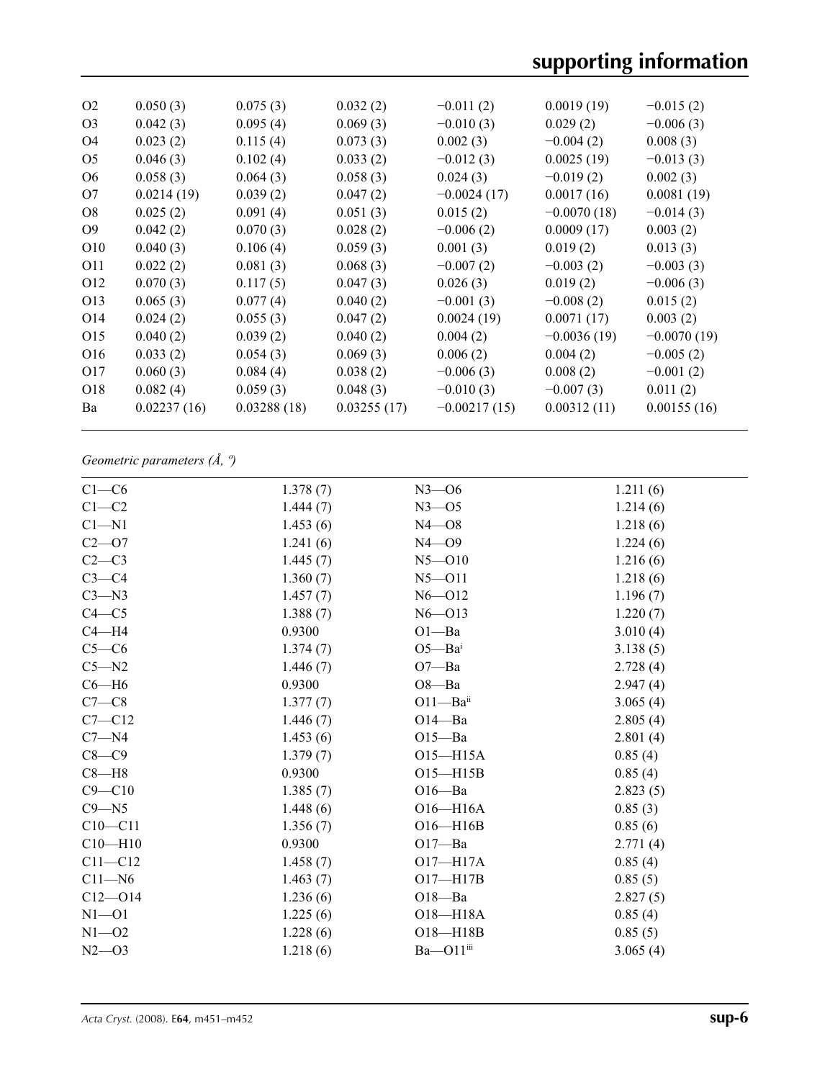# **supporting information**

| O <sub>2</sub>  | 0.050(3)    | 0.075(3)    | 0.032(2)    | $-0.011(2)$    | 0.0019(19)    | $-0.015(2)$   |
|-----------------|-------------|-------------|-------------|----------------|---------------|---------------|
| O <sub>3</sub>  | 0.042(3)    | 0.095(4)    | 0.069(3)    | $-0.010(3)$    | 0.029(2)      | $-0.006(3)$   |
| O4              | 0.023(2)    | 0.115(4)    | 0.073(3)    | 0.002(3)       | $-0.004(2)$   | 0.008(3)      |
| O <sub>5</sub>  | 0.046(3)    | 0.102(4)    | 0.033(2)    | $-0.012(3)$    | 0.0025(19)    | $-0.013(3)$   |
| O <sub>6</sub>  | 0.058(3)    | 0.064(3)    | 0.058(3)    | 0.024(3)       | $-0.019(2)$   | 0.002(3)      |
| O7              | 0.0214(19)  | 0.039(2)    | 0.047(2)    | $-0.0024(17)$  | 0.0017(16)    | 0.0081(19)    |
| O <sub>8</sub>  | 0.025(2)    | 0.091(4)    | 0.051(3)    | 0.015(2)       | $-0.0070(18)$ | $-0.014(3)$   |
| O <sub>9</sub>  | 0.042(2)    | 0.070(3)    | 0.028(2)    | $-0.006(2)$    | 0.0009(17)    | 0.003(2)      |
| O <sub>10</sub> | 0.040(3)    | 0.106(4)    | 0.059(3)    | 0.001(3)       | 0.019(2)      | 0.013(3)      |
| O11             | 0.022(2)    | 0.081(3)    | 0.068(3)    | $-0.007(2)$    | $-0.003(2)$   | $-0.003(3)$   |
| O <sub>12</sub> | 0.070(3)    | 0.117(5)    | 0.047(3)    | 0.026(3)       | 0.019(2)      | $-0.006(3)$   |
| O13             | 0.065(3)    | 0.077(4)    | 0.040(2)    | $-0.001(3)$    | $-0.008(2)$   | 0.015(2)      |
| O <sub>14</sub> | 0.024(2)    | 0.055(3)    | 0.047(2)    | 0.0024(19)     | 0.0071(17)    | 0.003(2)      |
| O <sub>15</sub> | 0.040(2)    | 0.039(2)    | 0.040(2)    | 0.004(2)       | $-0.0036(19)$ | $-0.0070(19)$ |
| O <sub>16</sub> | 0.033(2)    | 0.054(3)    | 0.069(3)    | 0.006(2)       | 0.004(2)      | $-0.005(2)$   |
| O17             | 0.060(3)    | 0.084(4)    | 0.038(2)    | $-0.006(3)$    | 0.008(2)      | $-0.001(2)$   |
| O <sub>18</sub> | 0.082(4)    | 0.059(3)    | 0.048(3)    | $-0.010(3)$    | $-0.007(3)$   | 0.011(2)      |
| Ba              | 0.02237(16) | 0.03288(18) | 0.03255(17) | $-0.00217(15)$ | 0.00312(11)   | 0.00155(16)   |
|                 |             |             |             |                |               |               |

## *Geometric parameters (Å, º)*

| $C1-C6$     | 1.378(7) | $N3 - 06$                | 1.211(6) |
|-------------|----------|--------------------------|----------|
| $C1-C2$     | 1.444(7) | $N3 - 05$                | 1.214(6) |
| $C1 - N1$   | 1.453(6) | $N4 - 08$                | 1.218(6) |
| $C2 - 07$   | 1.241(6) | $N4 - O9$                | 1.224(6) |
| $C2-C3$     | 1.445(7) | $N5 - 010$               | 1.216(6) |
| $C3-C4$     | 1.360(7) | $N5 - 011$               | 1.218(6) |
| $C3 - N3$   | 1.457(7) | $N6 - 012$               | 1.196(7) |
| $C4 - C5$   | 1.388(7) | $N6 - 013$               | 1.220(7) |
| $C4 - H4$   | 0.9300   | $O1 - Ba$                | 3.010(4) |
| $C5-C6$     | 1.374(7) | $O5 - Bai$               | 3.138(5) |
| $C5 - N2$   | 1.446(7) | $O7 - Ba$                | 2.728(4) |
| $C6 - H6$   | 0.9300   | O8-Ba                    | 2.947(4) |
| $C7-C8$     | 1.377(7) | $O11 - Ba$ <sup>ii</sup> | 3.065(4) |
| $C7 - C12$  | 1.446(7) | $O14 - Ba$               | 2.805(4) |
| $C7 - N4$   | 1.453(6) | $O15 - Ba$               | 2.801(4) |
| $C8 - C9$   | 1.379(7) | O15-H15A                 | 0.85(4)  |
| $C8 - H8$   | 0.9300   | $O15 - H15B$             | 0.85(4)  |
| $C9 - C10$  | 1.385(7) | $O16 - Ba$               | 2.823(5) |
| $C9 - N5$   | 1.448(6) | $O16 - H16A$             | 0.85(3)  |
| $C10 - C11$ | 1.356(7) | $O16 - H16B$             | 0.85(6)  |
| $C10 - H10$ | 0.9300   | $O17 - Ba$               | 2.771(4) |
| $C11 - C12$ | 1.458(7) | 017-H17A                 | 0.85(4)  |
| $C11 - N6$  | 1.463(7) | O17-H17B                 | 0.85(5)  |
| $C12 - O14$ | 1.236(6) | $O18 - Ba$               | 2.827(5) |
| $N1 - 01$   | 1.225(6) | O18-H18A                 | 0.85(4)  |
| $N1 - 02$   | 1.228(6) | O18-H18B                 | 0.85(5)  |
| $N2 - 03$   | 1.218(6) | Ba-O11iii                | 3.065(4) |
|             |          |                          |          |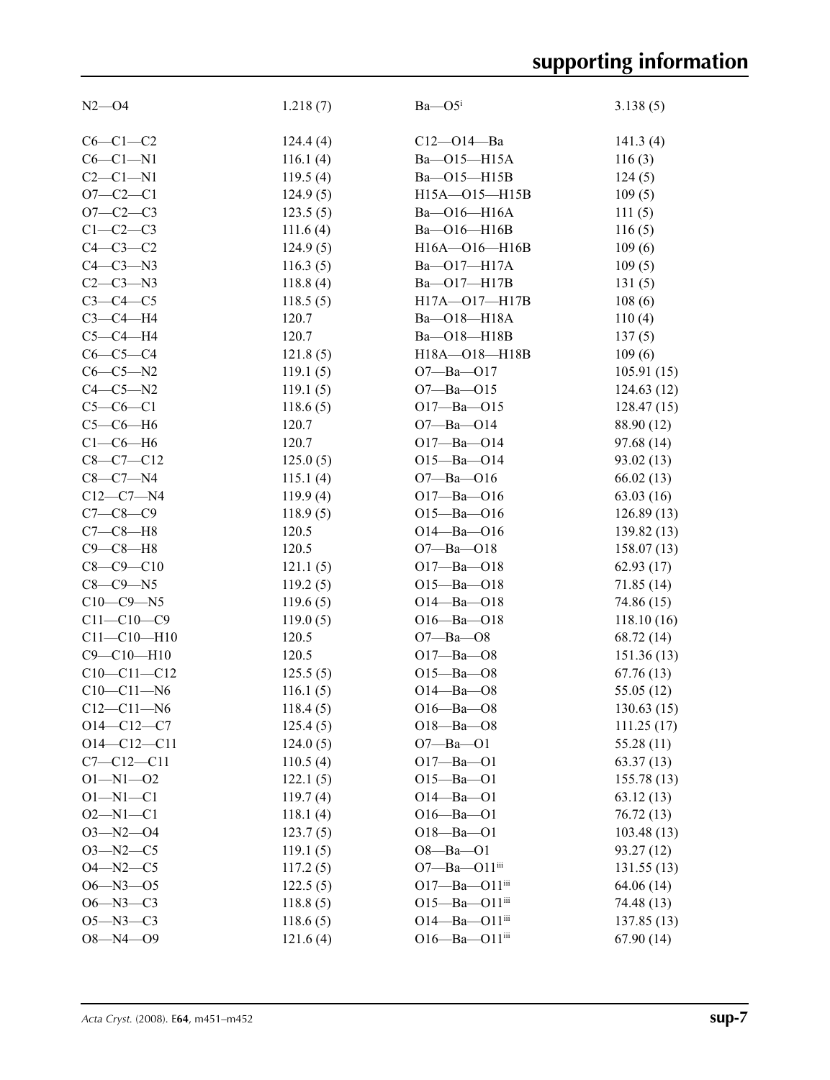# **supporting information**

| $N2 - 04$         | 1.218(7) | $Ba$ — $O5i$                    | 3.138(5)   |
|-------------------|----------|---------------------------------|------------|
| $C6-C1-C2$        | 124.4(4) | $C12 - O14 - Ba$                | 141.3(4)   |
| $C6-C1-N1$        | 116.1(4) | Ba-015-H15A                     | 116(3)     |
| $C2-C1-N1$        | 119.5(4) | Ba-015-H15B                     | 124(5)     |
| $O7 - C2 - C1$    | 124.9(5) | H15A-015-H15B                   | 109(5)     |
| $O7 - C2 - C3$    | 123.5(5) | Ba-O16-H16A                     | 111(5)     |
| $C1-C2-C3$        | 111.6(4) | Ba-O16-H16B                     | 116(5)     |
| $C4-C3-C2$        | 124.9(5) | H16A-O16-H16B                   | 109(6)     |
| $C4-C3-N3$        | 116.3(5) | Ba-O17-H17A                     | 109(5)     |
| $C2-C3-N3$        | 118.8(4) | Ba-017-H17B                     | 131(5)     |
| $C3-C4-C5$        | 118.5(5) | H17A-017-H17B                   | 108(6)     |
| $C3-C4-H4$        | 120.7    | Ba-O18-H18A                     | 110(4)     |
| $C5-C4-H4$        | 120.7    | Ba-O18-H18B                     | 137(5)     |
|                   |          |                                 |            |
| $C6-C5-C4$        | 121.8(5) | H18A-O18-H18B                   | 109(6)     |
| $C6-C5-N2$        | 119.1(5) | $O7 - Ba - O17$                 | 105.91(15) |
| $C4-C5-N2$        | 119.1(5) | $O7 - Ba - O15$                 | 124.63(12) |
| $C5-C6-C1$        | 118.6(5) | $O17 - Ba - O15$                | 128.47(15) |
| $C5-C6-H6$        | 120.7    | $O7 - Ba - O14$                 | 88.90 (12) |
| $C1-C6-H6$        | 120.7    | $O17 - Ba - O14$                | 97.68 (14) |
| $C8-C7-C12$       | 125.0(5) | $O15 - Ba - O14$                | 93.02(13)  |
| $C8-C7-N4$        | 115.1(4) | $O7 - Ba - O16$                 | 66.02(13)  |
| $C12-C7 - N4$     | 119.9(4) | $O17 - Ba - O16$                | 63.03(16)  |
| $C7 - C8 - C9$    | 118.9(5) | $O15 - Ba - O16$                | 126.89(13) |
| $C7-C8-H8$        | 120.5    | $O14 - Ba - O16$                | 139.82(13) |
| $C9-C8-H8$        | 120.5    | $O7 - Ba - O18$                 | 158.07(13) |
| $C8 - C9 - C10$   | 121.1(5) | $O17 - Ba - O18$                | 62.93(17)  |
| $C8-C9-N5$        | 119.2(5) | $O15 - Ba - O18$                | 71.85 (14) |
| $C10-C9-N5$       | 119.6(5) | $O14 - Ba - O18$                | 74.86 (15) |
| $C11 - C10 - C9$  | 119.0(5) | $O16 - Ba - O18$                | 118.10(16) |
| $C11 - C10 - H10$ | 120.5    | $O7 - Ba - O8$                  | 68.72 (14) |
| $C9 - C10 - H10$  | 120.5    | $O17 - Ba - O8$                 | 151.36(13) |
| $C10-C11-C12$     | 125.5(5) | $O15 - Ba - O8$                 | 67.76(13)  |
| $C10-C11-N6$      | 116.1(5) | $O14 - Ba - O8$                 | 55.05(12)  |
| $C12 - C11 - N6$  | 118.4(5) | $O16 - Ba - O8$                 | 130.63(15) |
| $O14 - C12 - C7$  | 125.4(5) | $O18 - Ba - O8$                 | 111.25(17) |
| $O14 - C12 - C11$ | 124.0(5) | $O7 - Ba - O1$                  | 55.28(11)  |
| $C7 - C12 - C11$  | 110.5(4) | $O17 - Ba - O1$                 | 63.37(13)  |
| $O1 - N1 - O2$    | 122.1(5) | $O15 - Ba - O1$                 | 155.78(13) |
| $O1 - N1 - C1$    | 119.7(4) | $O14 - Ba - O1$                 | 63.12(13)  |
| $O2 - N1 - C1$    | 118.1(4) | $O16 - Ba - O1$                 | 76.72(13)  |
| $O3 - N2 - O4$    | 123.7(5) | $O18 - Ba - O1$                 | 103.48(13) |
| $O3 - N2 - C5$    | 119.1(5) | $O8 - Ba - O1$                  | 93.27(12)  |
| $O4 - N2 - C5$    | 117.2(5) | O7-Ba-O11iii                    | 131.55(13) |
| $O6 - N3 - O5$    | 122.5(5) | $O17 - Ba - O11$ <sup>iii</sup> | 64.06 (14) |
| $O6 - N3 - C3$    |          | $O15 - Ba - O11$ iii            |            |
|                   | 118.8(5) | $O14 - Ba - O11$ iii            | 74.48 (13) |
| $O5 - N3 - C3$    | 118.6(5) |                                 | 137.85(13) |
| $O8 - N4 - O9$    | 121.6(4) | O16-Ba-O11iii                   | 67.90(14)  |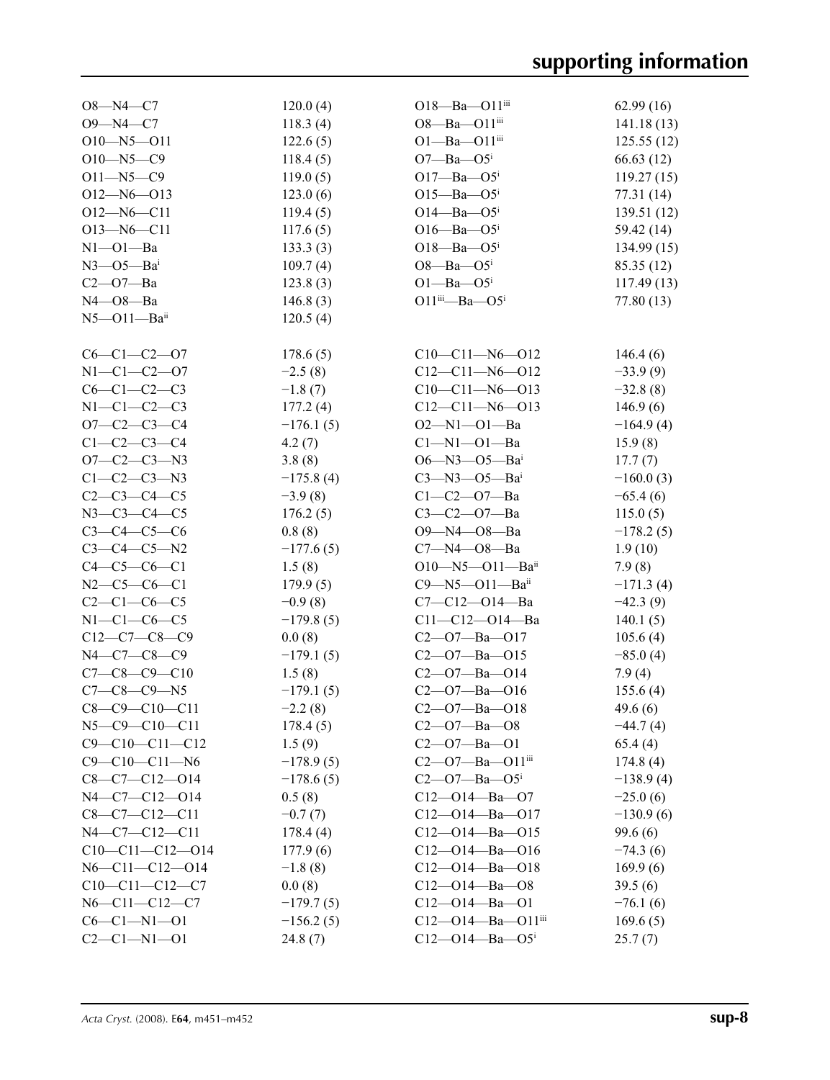| $O8 - N4 - C7$         | 120.0(4)              | $O18 - Ba - O11$ iii                           | 62.99(16)   |
|------------------------|-----------------------|------------------------------------------------|-------------|
| $O9 - N4 - C7$         | 118.3(4)              | $O8 - Ba - O11$ <sup>iii</sup>                 | 141.18(13)  |
| $O10 - N5 - O11$       | 122.6(5)              | $O1 - Ba - O11$ iii                            | 125.55(12)  |
| $O10 - N5 - C9$        | 118.4(5)              | $O7 - Ba - O5$                                 | 66.63(12)   |
| $O11 - N5 - C9$        | 119.0(5)              | $O17 - Ba - O5$                                | 119.27(15)  |
| $O12 - N6 - O13$       | 123.0(6)              | $O15 - Ba - O5$                                | 77.31(14)   |
| $O12 - N6 - C11$       | 119.4(5)              | $O14 - Ba - O5$                                | 139.51(12)  |
| $O13 - N6 - C11$       | 117.6(5)              | $O16 - Ba - O5$                                | 59.42 (14)  |
| $N1 - 01 - Ba$         | 133.3(3)              | $O18 - Ba - O5$                                | 134.99(15)  |
| $N3$ –O5–Bai           | 109.7(4)              | $O8$ —Ba— $O5^i$                               | 85.35(12)   |
| $C2 - O7 - Ba$         | 123.8(3)              | $O1 - Ba - O5$                                 | 117.49(13)  |
| $N4$ $-$ O8 $-$ Ba     | 146.8(3)              | $O11$ iii—Ba— $O5^i$                           | 77.80 (13)  |
| $N5$ — $O11$ — $Baii$  | 120.5(4)              |                                                |             |
|                        |                       |                                                |             |
| $C6-C1-C2-O7$          | 178.6(5)              | $C10-C11-N6-O12$                               | 146.4(6)    |
| $N1-C1-C2-O7$          | $-2.5(8)$             | $C12-C11-N6-O12$                               | $-33.9(9)$  |
| $C6 - C1 - C2 - C3$    | $-1.8(7)$             | $C10-C11-N6-O13$                               | $-32.8(8)$  |
| $N1-C1-C2-C3$          | 177.2(4)              | $C12-C11-N6-O13$                               | 146.9(6)    |
| $O7-C2-C3-C4$          | $-176.1(5)$           | $O2 - N1 - O1 - Ba$                            | $-164.9(4)$ |
| $C1 - C2 - C3 - C4$    | 4.2(7)                | $Cl-M1-O1-Ba$                                  | 15.9(8)     |
| $O7-C2-C3-N3$          | 3.8(8)                | $O6 - N3 - O5 - Ba^{i}$                        | 17.7(7)     |
| $C1-C2-C3-N3$          | $-175.8(4)$           | $C3 - N3 - O5 - Ba^{i}$                        | $-160.0(3)$ |
| $C2 - C3 - C4 - C5$    | $-3.9(8)$             | $C1 - C2 - 07 - Ba$                            | $-65.4(6)$  |
| $N3 - C3 - C4 - C5$    | 176.2(5)              | $C3 - C2 - 07 - Ba$                            | 115.0(5)    |
| $C3 - C4 - C5 - C6$    | 0.8(8)                | 09-N4-08-Ba                                    | $-178.2(5)$ |
| $C3-C4-C5-N2$          | $-177.6(5)$           | $C7 - N4 - O8 - Ba$                            | 1.9(10)     |
| $C4 - C5 - C6 - C1$    | 1.5(8)                | $O10 - N5 - O11 - Ba^{ii}$                     | 7.9(8)      |
| $N2-C5-C6-C1$          | 179.9(5)              | $C9 - N5 - O11 - Baii$                         | $-171.3(4)$ |
| $C2-C1-C6-C5$          | $-0.9(8)$             | $C7 - C12 - O14 - Ba$                          | $-42.3(9)$  |
| $N1-C1-C6-C5$          | $-179.8(5)$           | $C11 - C12 - O14 - Ba$                         | 140.1(5)    |
| $C12-C7-C8-C9$         | 0.0(8)                | $C2 - 07 - Ba - 017$                           | 105.6(4)    |
| $N4 - C7 - C8 - C9$    | $-179.1(5)$           | $C2 - 07 - Ba - 015$                           | $-85.0(4)$  |
| $C7-C8-C9-C10$         | 1.5(8)                | $C2 - 07 - Ba - 014$                           | 7.9(4)      |
| $C7 - C8 - C9 - N5$    | $-179.1(5)$           | $C2 - 07 - Ba - 016$                           | 155.6(4)    |
| $C8 - C9 - C10 - C11$  | $-2.2(8)$             | $C2 - O7 - Ba - O18$                           | 49.6(6)     |
| $N5 - C9 - C10 - C11$  | 178.4(5)              | $C2 - 07 - Ba - 08$                            | $-44.7(4)$  |
| $C9 - C10 - C11 - C12$ | 1.5(9)                | $C2 - 07 - Ba - 01$                            | 65.4(4)     |
| $C9 - C10 - C11 - N6$  | $-178.9(5)$           | $C2 - O7 - Ba - O11$ iii                       | 174.8(4)    |
| $C8-C7-C12-O14$        | $-178.6(5)$           | $C2 - O7 - Ba - O5$                            | $-138.9(4)$ |
| $N4 - C7 - C12 - O14$  | 0.5(8)                | $C12 - O14 - Ba - O7$                          | $-25.0(6)$  |
| $C8-C7-C12-C11$        | $-0.7(7)$             | $C12 - O14 - Ba - O17$                         | $-130.9(6)$ |
| N4-C7-C12-C11          | 178.4(4)              | $C12 - 014 - Ba - 015$                         | 99.6(6)     |
| $C10-C11-C12-O14$      |                       | $C12 - 014 - Ba - 016$                         |             |
| $N6 - C11 - C12 - 014$ | 177.9(6)<br>$-1.8(8)$ | $C12 - 014 - Ba - 018$                         | $-74.3(6)$  |
| $C10-C11-C12-C7$       |                       |                                                | 169.9(6)    |
|                        | 0.0(8)                | $C12 - O14 - Ba - O8$<br>$C12 - O14 - Ba - O1$ | 39.5(6)     |
| $N6 - C11 - C12 - C7$  | $-179.7(5)$           | C12-014-Ba-011iii                              | $-76.1(6)$  |
| $C6-C1-N1-01$          | $-156.2(5)$           |                                                | 169.6(5)    |
| $C2 - C1 - N1 - 01$    | 24.8(7)               | $C12 - O14 - Ba - O5$                          | 25.7(7)     |